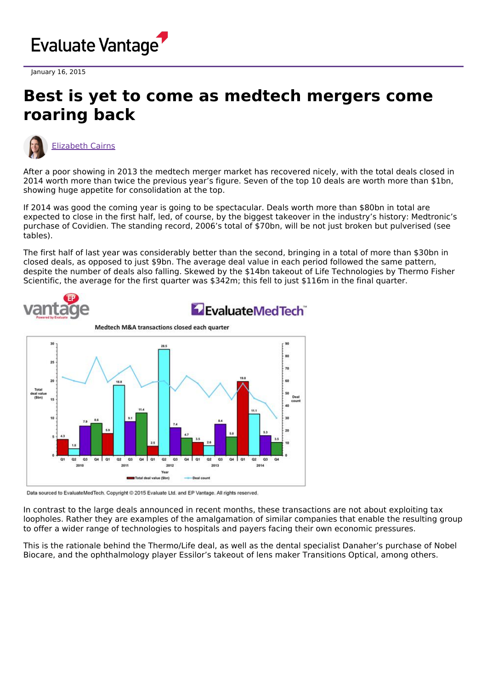

January 16, 2015

## **Best is yet to come as medtech mergers come roaring back**



[Elizabeth](https://www.evaluate.com/vantage/editorial-team/elizabeth-cairns) Cairns

After a poor showing in 2013 the medtech merger market has recovered nicely, with the total deals closed in 2014 worth more than twice the previous year's figure. Seven of the top 10 deals are worth more than \$1bn, showing huge appetite for consolidation at the top.

If 2014 was good the coming year is going to be spectacular. Deals worth more than \$80bn in total are expected to close in the first half, led, of course, by the biggest takeover in the industry's history: Medtronic's purchase of Covidien. The standing record, 2006's total of \$70bn, will be not just broken but pulverised (see tables).

The first half of last year was considerably better than the second, bringing in a total of more than \$30bn in closed deals, as opposed to just \$9bn. The average deal value in each period followed the same pattern, despite the number of deals also falling. Skewed by the \$14bn takeout of Life Technologies by Thermo Fisher Scientific, the average for the first quarter was \$342m; this fell to just \$116m in the final quarter.



Data sourced to EvaluateMedTech. Copyright @ 2015 Evaluate Ltd. and EP Vantage. All rights reserved.

In contrast to the large deals announced in recent months, these transactions are not about exploiting tax loopholes. Rather they are examples of the amalgamation of similar companies that enable the resulting group to offer a wider range of technologies to hospitals and payers facing their own economic pressures.

This is the rationale behind the Thermo/Life deal, as well as the dental specialist Danaher's purchase of Nobel Biocare, and the ophthalmology player Essilor's takeout of lens maker Transitions Optical, among others.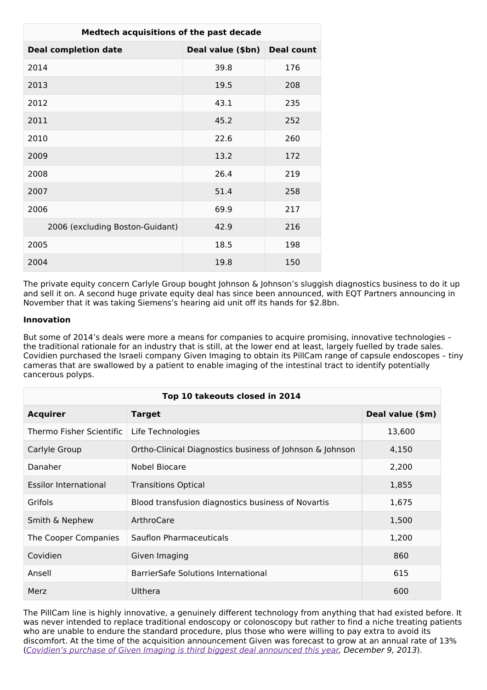| Medtech acquisitions of the past decade |                   |                   |  |
|-----------------------------------------|-------------------|-------------------|--|
| <b>Deal completion date</b>             | Deal value (\$bn) | <b>Deal count</b> |  |
| 2014                                    | 39.8              | 176               |  |
| 2013                                    | 19.5              | 208               |  |
| 2012                                    | 43.1              | 235               |  |
| 2011                                    | 45.2              | 252               |  |
| 2010                                    | 22.6              | 260               |  |
| 2009                                    | 13.2              | 172               |  |
| 2008                                    | 26.4              | 219               |  |
| 2007                                    | 51.4              | 258               |  |
| 2006                                    | 69.9              | 217               |  |
| 2006 (excluding Boston-Guidant)         | 42.9              | 216               |  |
| 2005                                    | 18.5              | 198               |  |
| 2004                                    | 19.8              | 150               |  |

The private equity concern Carlyle Group bought Johnson & Johnson's sluggish diagnostics business to do it up and sell it on. A second huge private equity deal has since been announced, with EQT Partners announcing in November that it was taking Siemens's hearing aid unit off its hands for \$2.8bn.

## **Innovation**

But some of 2014's deals were more a means for companies to acquire promising, innovative technologies – the traditional rationale for an industry that is still, at the lower end at least, largely fuelled by trade sales. Covidien purchased the Israeli company Given Imaging to obtain its PillCam range of capsule endoscopes – tiny cameras that are swallowed by a patient to enable imaging of the intestinal tract to identify potentially cancerous polyps.

| Top 10 takeouts closed in 2014 |                                                          |                  |  |
|--------------------------------|----------------------------------------------------------|------------------|--|
| <b>Acquirer</b>                | <b>Target</b>                                            | Deal value (\$m) |  |
| Thermo Fisher Scientific       | Life Technologies                                        | 13,600           |  |
| Carlyle Group                  | Ortho-Clinical Diagnostics business of Johnson & Johnson | 4,150            |  |
| Danaher                        | Nobel Biocare                                            | 2,200            |  |
| <b>Essilor International</b>   | <b>Transitions Optical</b>                               | 1,855            |  |
| Grifols                        | Blood transfusion diagnostics business of Novartis       | 1,675            |  |
| Smith & Nephew                 | ArthroCare                                               | 1,500            |  |
| The Cooper Companies           | Sauflon Pharmaceuticals                                  | 1,200            |  |
| Covidien                       | Given Imaging                                            | 860              |  |
| Ansell                         | BarrierSafe Solutions International                      | 615              |  |
| Merz                           | Ulthera                                                  | 600              |  |

The PillCam line is highly innovative, a genuinely different technology from anything that had existed before. It was never intended to replace traditional endoscopy or colonoscopy but rather to find a niche treating patients who are unable to endure the standard procedure, plus those who were willing to pay extra to avoid its discomfort. At the time of the acquisition announcement Given was forecast to grow at an annual rate of 13% (Covidien's purchase of Given Imaging is third biggest deal [announced](http://www.epvantage.com/Universal/View.aspx?type=Story&id=475119&isEPVantage=yes) this year, December 9, 2013).